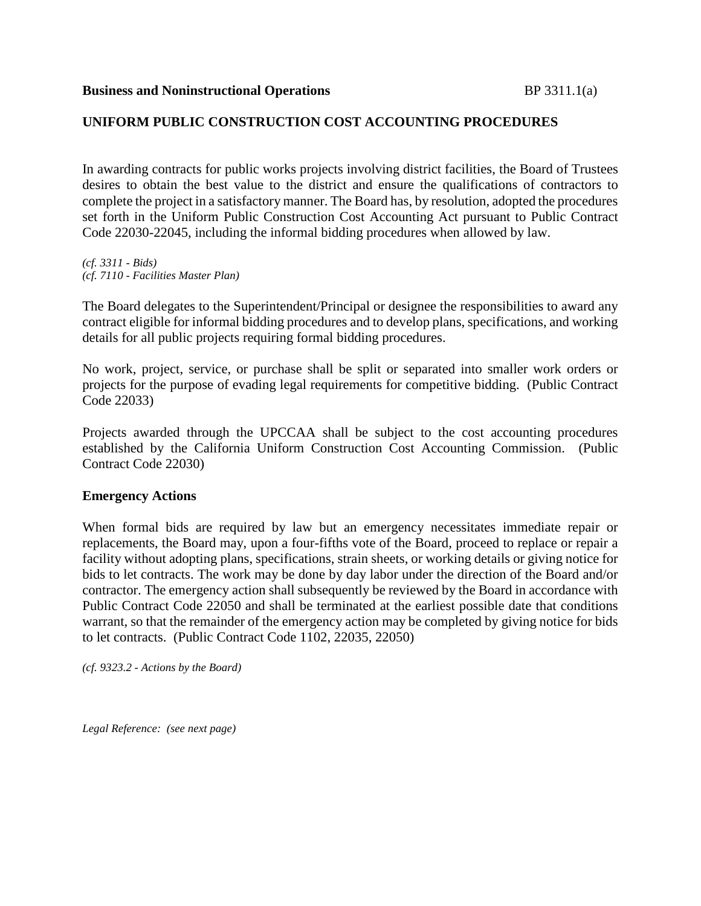#### **UNIFORM PUBLIC CONSTRUCTION COST ACCOUNTING PROCEDURES**

In awarding contracts for public works projects involving district facilities, the Board of Trustees desires to obtain the best value to the district and ensure the qualifications of contractors to complete the project in a satisfactory manner. The Board has, by resolution, adopted the procedures set forth in the Uniform Public Construction Cost Accounting Act pursuant to Public Contract Code 22030-22045, including the informal bidding procedures when allowed by law.

*(cf. 3311 - Bids) (cf. 7110 - Facilities Master Plan)*

The Board delegates to the Superintendent/Principal or designee the responsibilities to award any contract eligible for informal bidding procedures and to develop plans, specifications, and working details for all public projects requiring formal bidding procedures.

No work, project, service, or purchase shall be split or separated into smaller work orders or projects for the purpose of evading legal requirements for competitive bidding. (Public Contract Code 22033)

Projects awarded through the UPCCAA shall be subject to the cost accounting procedures established by the California Uniform Construction Cost Accounting Commission. (Public Contract Code 22030)

#### **Emergency Actions**

When formal bids are required by law but an emergency necessitates immediate repair or replacements, the Board may, upon a four-fifths vote of the Board, proceed to replace or repair a facility without adopting plans, specifications, strain sheets, or working details or giving notice for bids to let contracts. The work may be done by day labor under the direction of the Board and/or contractor. The emergency action shall subsequently be reviewed by the Board in accordance with Public Contract Code 22050 and shall be terminated at the earliest possible date that conditions warrant, so that the remainder of the emergency action may be completed by giving notice for bids to let contracts. (Public Contract Code 1102, 22035, 22050)

*(cf. 9323.2 - Actions by the Board)*

*Legal Reference: (see next page)*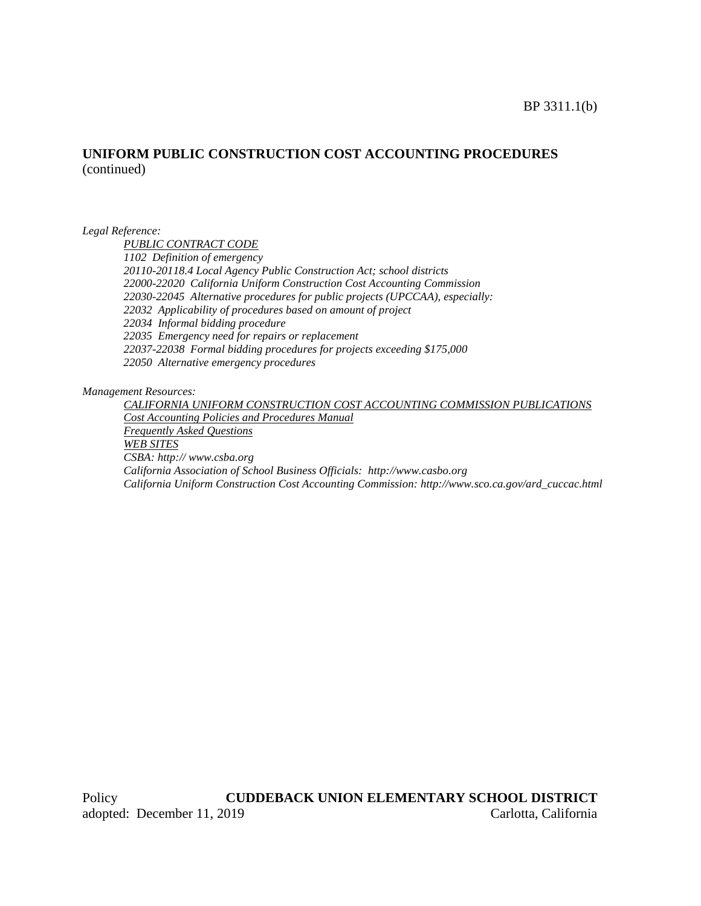#### BP 3311.1(b)

## **UNIFORM PUBLIC CONSTRUCTION COST ACCOUNTING PROCEDURES** (continued)

*Legal Reference:*

*PUBLIC CONTRACT CODE*

*1102 Definition of emergency 20110-20118.4 Local Agency Public Construction Act; school districts 22000-22020 California Uniform Construction Cost Accounting Commission 22030-22045 Alternative procedures for public projects (UPCCAA), especially: 22032 Applicability of procedures based on amount of project 22034 Informal bidding procedure 22035 Emergency need for repairs or replacement 22037-22038 Formal bidding procedures for projects exceeding \$175,000 22050 Alternative emergency procedures*

*Management Resources:*

*CALIFORNIA UNIFORM CONSTRUCTION COST ACCOUNTING COMMISSION PUBLICATIONS Cost Accounting Policies and Procedures Manual Frequently Asked Questions WEB SITES CSBA: http:// www.csba.org California Association of School Business Officials: http://www.casbo.org California Uniform Construction Cost Accounting Commission: http://www.sco.ca.gov/ard\_cuccac.html*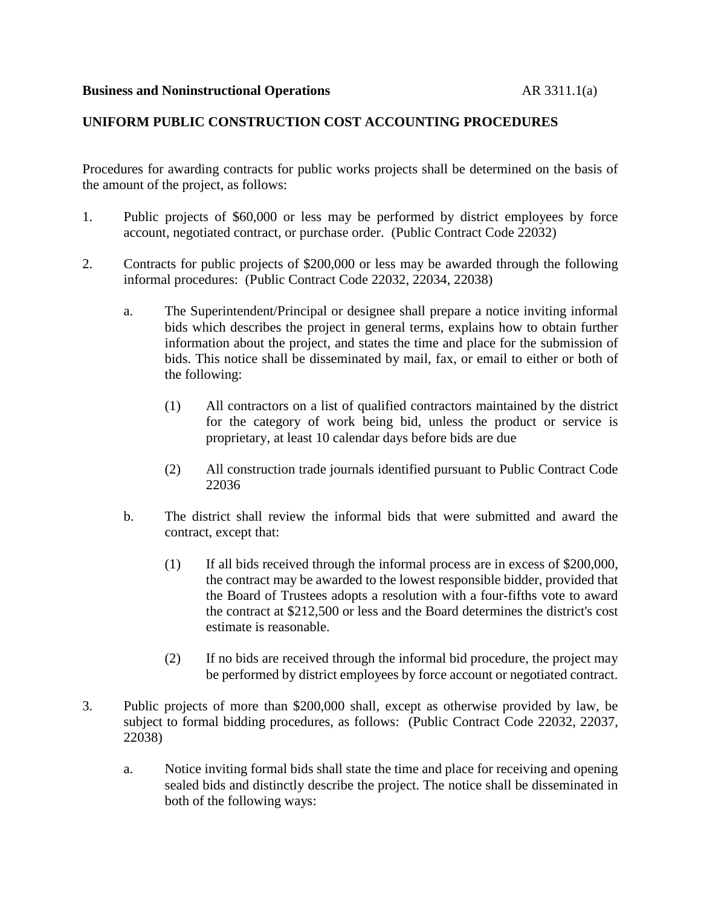## **UNIFORM PUBLIC CONSTRUCTION COST ACCOUNTING PROCEDURES**

Procedures for awarding contracts for public works projects shall be determined on the basis of the amount of the project, as follows:

- 1. Public projects of \$60,000 or less may be performed by district employees by force account, negotiated contract, or purchase order. (Public Contract Code 22032)
- 2. Contracts for public projects of \$200,000 or less may be awarded through the following informal procedures: (Public Contract Code 22032, 22034, 22038)
	- a. The Superintendent/Principal or designee shall prepare a notice inviting informal bids which describes the project in general terms, explains how to obtain further information about the project, and states the time and place for the submission of bids. This notice shall be disseminated by mail, fax, or email to either or both of the following:
		- (1) All contractors on a list of qualified contractors maintained by the district for the category of work being bid, unless the product or service is proprietary, at least 10 calendar days before bids are due
		- (2) All construction trade journals identified pursuant to Public Contract Code 22036
	- b. The district shall review the informal bids that were submitted and award the contract, except that:
		- (1) If all bids received through the informal process are in excess of \$200,000, the contract may be awarded to the lowest responsible bidder, provided that the Board of Trustees adopts a resolution with a four-fifths vote to award the contract at \$212,500 or less and the Board determines the district's cost estimate is reasonable.
		- (2) If no bids are received through the informal bid procedure, the project may be performed by district employees by force account or negotiated contract.
- 3. Public projects of more than \$200,000 shall, except as otherwise provided by law, be subject to formal bidding procedures, as follows: (Public Contract Code 22032, 22037, 22038)
	- a. Notice inviting formal bids shall state the time and place for receiving and opening sealed bids and distinctly describe the project. The notice shall be disseminated in both of the following ways: